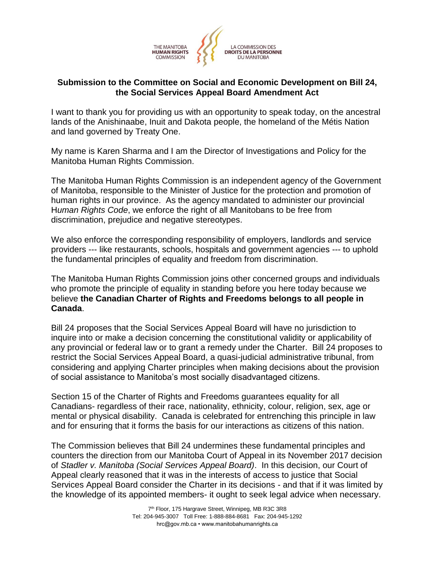

## **Submission to the Committee on Social and Economic Development on Bill 24, the Social Services Appeal Board Amendment Act**

I want to thank you for providing us with an opportunity to speak today, on the ancestral lands of the Anishinaabe, Inuit and Dakota people, the homeland of the Métis Nation and land governed by Treaty One.

My name is Karen Sharma and I am the Director of Investigations and Policy for the Manitoba Human Rights Commission.

The Manitoba Human Rights Commission is an independent agency of the Government of Manitoba, responsible to the Minister of Justice for the protection and promotion of human rights in our province. As the agency mandated to administer our provincial H*uman Rights Code*, we enforce the right of all Manitobans to be free from discrimination, prejudice and negative stereotypes.

We also enforce the corresponding responsibility of employers, landlords and service providers --- like restaurants, schools, hospitals and government agencies --- to uphold the fundamental principles of equality and freedom from discrimination.

The Manitoba Human Rights Commission joins other concerned groups and individuals who promote the principle of equality in standing before you here today because we believe **the Canadian Charter of Rights and Freedoms belongs to all people in Canada**.

Bill 24 proposes that the Social Services Appeal Board will have no jurisdiction to inquire into or make a decision concerning the constitutional validity or applicability of any provincial or federal law or to grant a remedy under the Charter. Bill 24 proposes to restrict the Social Services Appeal Board, a quasi-judicial administrative tribunal, from considering and applying Charter principles when making decisions about the provision of social assistance to Manitoba's most socially disadvantaged citizens.

Section 15 of the Charter of Rights and Freedoms guarantees equality for all Canadians- regardless of their race, nationality, ethnicity, colour, religion, sex, age or mental or physical disability. Canada is celebrated for entrenching this principle in law and for ensuring that it forms the basis for our interactions as citizens of this nation.

The Commission believes that Bill 24 undermines these fundamental principles and counters the direction from our Manitoba Court of Appeal in its November 2017 decision of *Stadler v. Manitoba (Social Services Appeal Board)*. In this decision, our Court of Appeal clearly reasoned that it was in the interests of access to justice that Social Services Appeal Board consider the Charter in its decisions - and that if it was limited by the knowledge of its appointed members- it ought to seek legal advice when necessary.